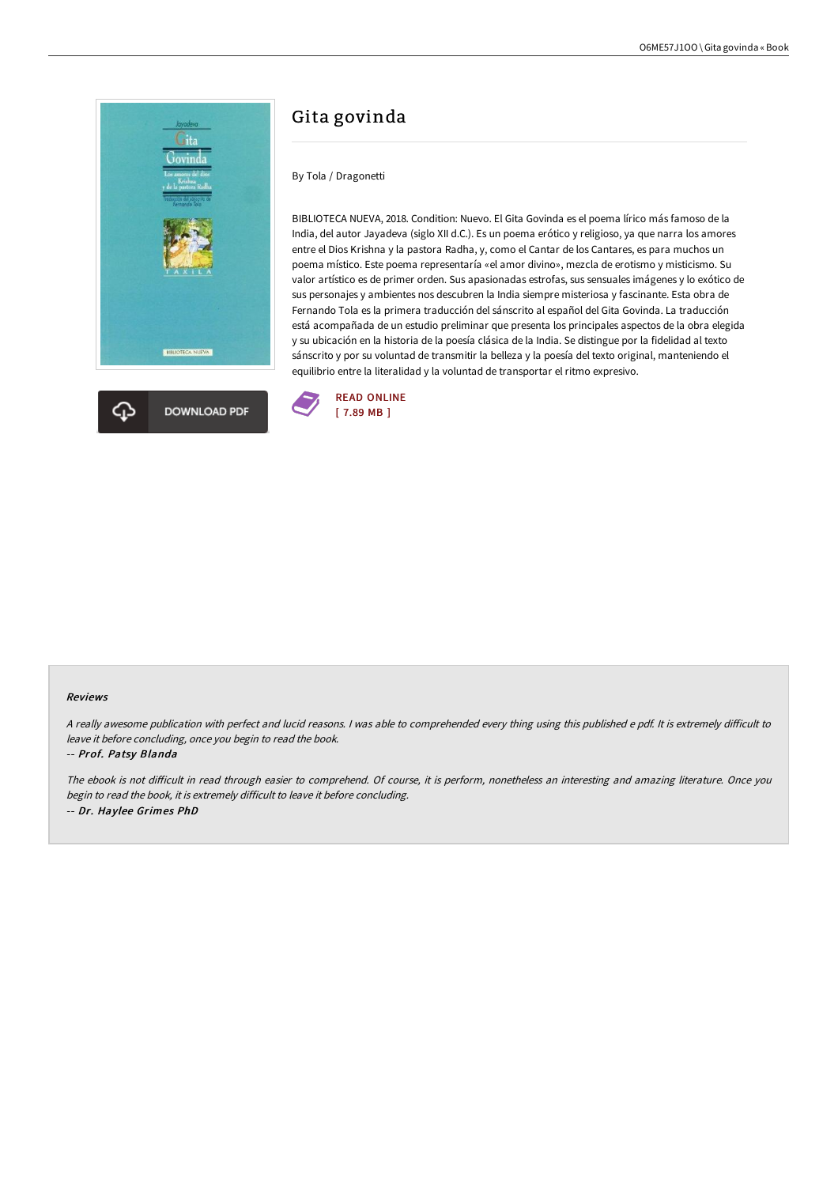



# Gita govinda

# By Tola / Dragonetti

BIBLIOTECA NUEVA, 2018. Condition: Nuevo. El Gita Govinda es el poema lírico más famoso de la India, del autor Jayadeva (siglo XII d.C.). Es un poema erótico y religioso, ya que narra los amores entre el Dios Krishna y la pastora Radha, y, como el Cantar de los Cantares, es para muchos un poema místico. Este poema representaría «el amor divino», mezcla de erotismo y misticismo. Su valor artístico es de primer orden. Sus apasionadas estrofas, sus sensuales imágenes y lo exótico de sus personajes y ambientes nos descubren la India siempre misteriosa y fascinante. Esta obra de Fernando Tola es la primera traducción del sánscrito al español del Gita Govinda. La traducción está acompañada de un estudio preliminar que presenta los principales aspectos de la obra elegida y su ubicación en la historia de la poesía clásica de la India. Se distingue por la fidelidad al texto sánscrito y por su voluntad de transmitir la belleza y la poesía del texto original, manteniendo el equilibrio entre la literalidad y la voluntad de transportar el ritmo expresivo.



#### Reviews

A really awesome publication with perfect and lucid reasons. I was able to comprehended every thing using this published e pdf. It is extremely difficult to leave it before concluding, once you begin to read the book.

### -- Prof. Patsy Blanda

The ebook is not difficult in read through easier to comprehend. Of course, it is perform, nonetheless an interesting and amazing literature. Once you begin to read the book, it is extremely difficult to leave it before concluding. -- Dr. Haylee Grimes PhD